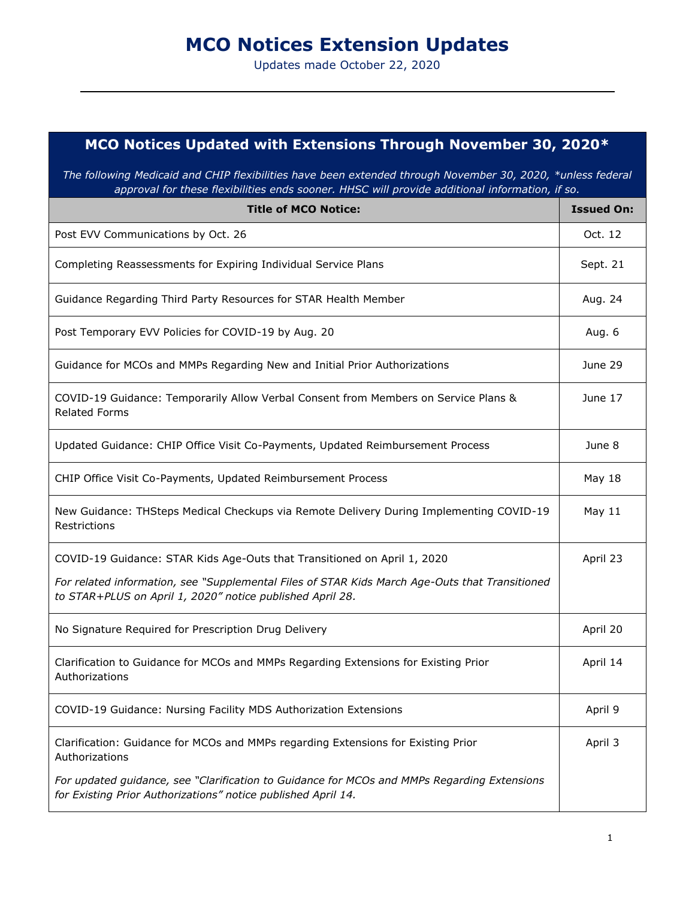## **MCO Notices Extension Updates**

Updates made October 22, 2020

## **MCO Notices Updated with Extensions Through November 30, 2020\***

*The following Medicaid and CHIP flexibilities have been extended through November 30, 2020, \*unless federal approval for these flexibilities ends sooner. HHSC will provide additional information, if so.*

| <b>Title of MCO Notice:</b>                                                                                                                                  | <b>Issued On:</b> |
|--------------------------------------------------------------------------------------------------------------------------------------------------------------|-------------------|
| Post EVV Communications by Oct. 26                                                                                                                           | Oct. 12           |
| Completing Reassessments for Expiring Individual Service Plans                                                                                               | Sept. 21          |
| Guidance Regarding Third Party Resources for STAR Health Member                                                                                              | Aug. 24           |
| Post Temporary EVV Policies for COVID-19 by Aug. 20                                                                                                          | Aug. 6            |
| Guidance for MCOs and MMPs Regarding New and Initial Prior Authorizations                                                                                    | June 29           |
| COVID-19 Guidance: Temporarily Allow Verbal Consent from Members on Service Plans &<br><b>Related Forms</b>                                                  | June 17           |
| Updated Guidance: CHIP Office Visit Co-Payments, Updated Reimbursement Process                                                                               | June 8            |
| CHIP Office Visit Co-Payments, Updated Reimbursement Process                                                                                                 | <b>May 18</b>     |
| New Guidance: THSteps Medical Checkups via Remote Delivery During Implementing COVID-19<br>Restrictions                                                      | May 11            |
| COVID-19 Guidance: STAR Kids Age-Outs that Transitioned on April 1, 2020                                                                                     | April 23          |
| For related information, see "Supplemental Files of STAR Kids March Age-Outs that Transitioned<br>to STAR+PLUS on April 1, 2020" notice published April 28.  |                   |
| No Signature Required for Prescription Drug Delivery                                                                                                         | April 20          |
| Clarification to Guidance for MCOs and MMPs Regarding Extensions for Existing Prior<br>Authorizations                                                        | April 14          |
| COVID-19 Guidance: Nursing Facility MDS Authorization Extensions                                                                                             | April 9           |
| Clarification: Guidance for MCOs and MMPs regarding Extensions for Existing Prior<br>Authorizations                                                          | April 3           |
| For updated guidance, see "Clarification to Guidance for MCOs and MMPs Regarding Extensions<br>for Existing Prior Authorizations" notice published April 14. |                   |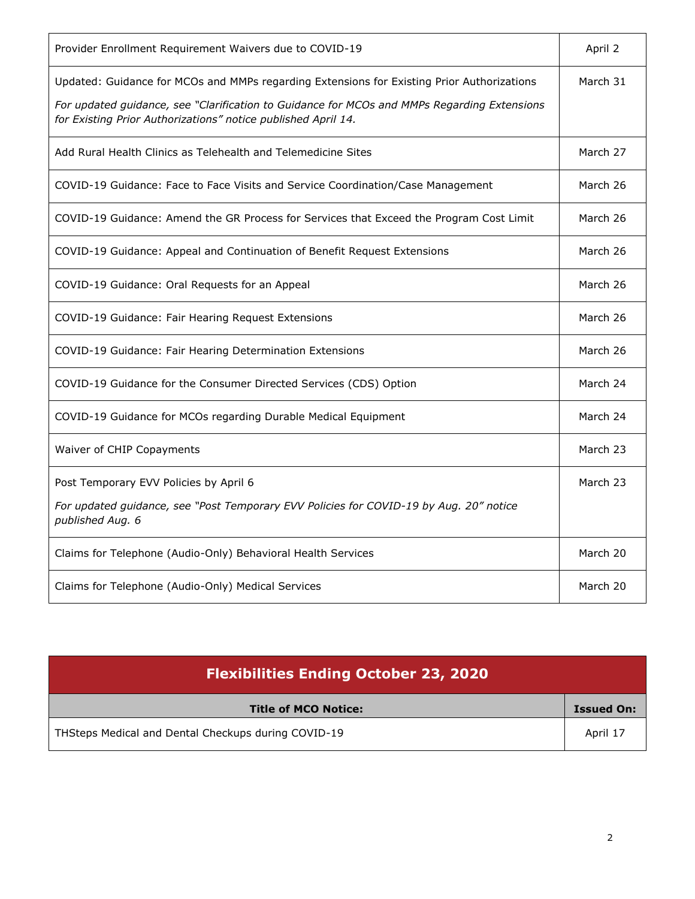| Provider Enrollment Requirement Waivers due to COVID-19                                                                                                                                                                                                    | April 2  |
|------------------------------------------------------------------------------------------------------------------------------------------------------------------------------------------------------------------------------------------------------------|----------|
| Updated: Guidance for MCOs and MMPs regarding Extensions for Existing Prior Authorizations<br>For updated guidance, see "Clarification to Guidance for MCOs and MMPs Regarding Extensions<br>for Existing Prior Authorizations" notice published April 14. | March 31 |
| Add Rural Health Clinics as Telehealth and Telemedicine Sites                                                                                                                                                                                              | March 27 |
| COVID-19 Guidance: Face to Face Visits and Service Coordination/Case Management                                                                                                                                                                            | March 26 |
| COVID-19 Guidance: Amend the GR Process for Services that Exceed the Program Cost Limit                                                                                                                                                                    | March 26 |
| COVID-19 Guidance: Appeal and Continuation of Benefit Request Extensions                                                                                                                                                                                   | March 26 |
| COVID-19 Guidance: Oral Requests for an Appeal                                                                                                                                                                                                             | March 26 |
| COVID-19 Guidance: Fair Hearing Request Extensions                                                                                                                                                                                                         | March 26 |
| COVID-19 Guidance: Fair Hearing Determination Extensions                                                                                                                                                                                                   | March 26 |
| COVID-19 Guidance for the Consumer Directed Services (CDS) Option                                                                                                                                                                                          | March 24 |
| COVID-19 Guidance for MCOs regarding Durable Medical Equipment                                                                                                                                                                                             | March 24 |
| Waiver of CHIP Copayments                                                                                                                                                                                                                                  | March 23 |
| Post Temporary EVV Policies by April 6                                                                                                                                                                                                                     | March 23 |
| For updated guidance, see "Post Temporary EVV Policies for COVID-19 by Aug. 20" notice<br>published Aug. 6                                                                                                                                                 |          |
| Claims for Telephone (Audio-Only) Behavioral Health Services                                                                                                                                                                                               | March 20 |
| Claims for Telephone (Audio-Only) Medical Services                                                                                                                                                                                                         | March 20 |

| <b>Flexibilities Ending October 23, 2020</b>        |                   |
|-----------------------------------------------------|-------------------|
| <b>Title of MCO Notice:</b>                         | <b>Issued On:</b> |
| THSteps Medical and Dental Checkups during COVID-19 | April 17          |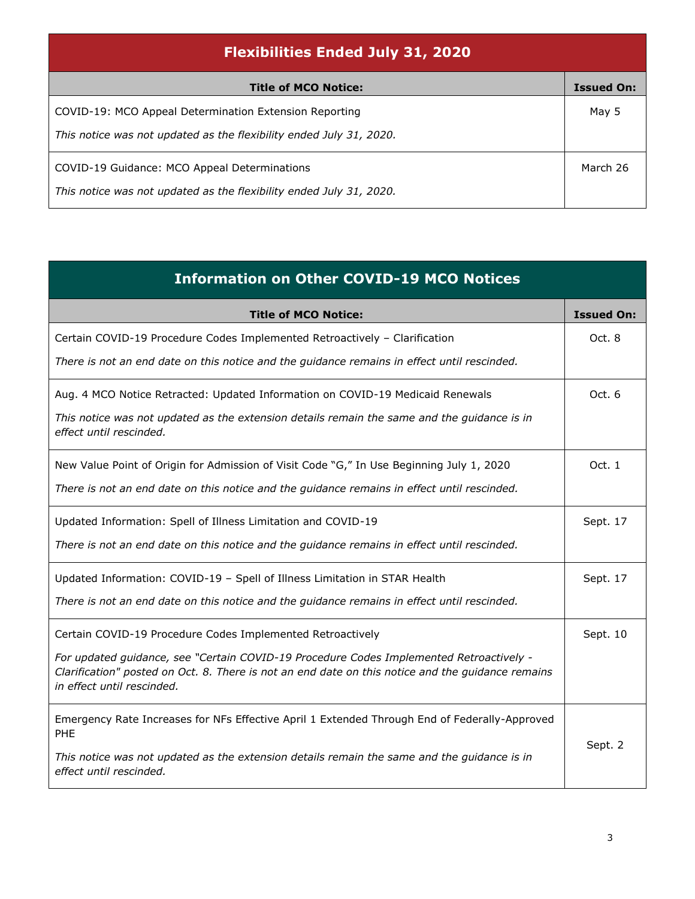| <b>Flexibilities Ended July 31, 2020</b>                            |                   |
|---------------------------------------------------------------------|-------------------|
| <b>Title of MCO Notice:</b>                                         | <b>Issued On:</b> |
| COVID-19: MCO Appeal Determination Extension Reporting              | May 5             |
| This notice was not updated as the flexibility ended July 31, 2020. |                   |
| COVID-19 Guidance: MCO Appeal Determinations                        | March 26          |
| This notice was not updated as the flexibility ended July 31, 2020. |                   |

| <b>Information on Other COVID-19 MCO Notices</b>                                                                                                                                                                           |                   |
|----------------------------------------------------------------------------------------------------------------------------------------------------------------------------------------------------------------------------|-------------------|
| <b>Title of MCO Notice:</b>                                                                                                                                                                                                | <b>Issued On:</b> |
| Certain COVID-19 Procedure Codes Implemented Retroactively - Clarification                                                                                                                                                 | Oct. 8            |
| There is not an end date on this notice and the guidance remains in effect until rescinded.                                                                                                                                |                   |
| Aug. 4 MCO Notice Retracted: Updated Information on COVID-19 Medicaid Renewals                                                                                                                                             | Oct. 6            |
| This notice was not updated as the extension details remain the same and the guidance is in<br>effect until rescinded.                                                                                                     |                   |
| New Value Point of Origin for Admission of Visit Code "G," In Use Beginning July 1, 2020                                                                                                                                   | Oct. 1            |
| There is not an end date on this notice and the guidance remains in effect until rescinded.                                                                                                                                |                   |
| Updated Information: Spell of Illness Limitation and COVID-19                                                                                                                                                              | Sept. 17          |
| There is not an end date on this notice and the guidance remains in effect until rescinded.                                                                                                                                |                   |
| Updated Information: COVID-19 - Spell of Illness Limitation in STAR Health                                                                                                                                                 | Sept. 17          |
| There is not an end date on this notice and the guidance remains in effect until rescinded.                                                                                                                                |                   |
| Certain COVID-19 Procedure Codes Implemented Retroactively                                                                                                                                                                 | Sept. 10          |
| For updated guidance, see "Certain COVID-19 Procedure Codes Implemented Retroactively -<br>Clarification" posted on Oct. 8. There is not an end date on this notice and the guidance remains<br>in effect until rescinded. |                   |
| Emergency Rate Increases for NFs Effective April 1 Extended Through End of Federally-Approved<br>PHE                                                                                                                       |                   |
| This notice was not updated as the extension details remain the same and the guidance is in<br>effect until rescinded.                                                                                                     | Sept. 2           |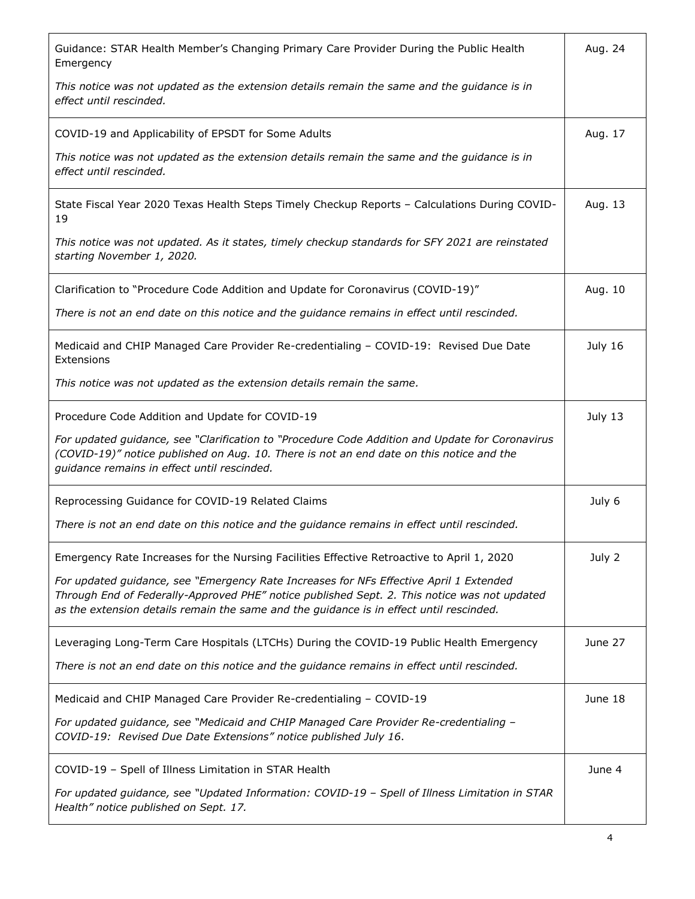| Guidance: STAR Health Member's Changing Primary Care Provider During the Public Health<br>Emergency                                                                                                                                                                               | Aug. 24 |
|-----------------------------------------------------------------------------------------------------------------------------------------------------------------------------------------------------------------------------------------------------------------------------------|---------|
| This notice was not updated as the extension details remain the same and the guidance is in<br>effect until rescinded.                                                                                                                                                            |         |
| COVID-19 and Applicability of EPSDT for Some Adults                                                                                                                                                                                                                               | Aug. 17 |
| This notice was not updated as the extension details remain the same and the guidance is in<br>effect until rescinded.                                                                                                                                                            |         |
| State Fiscal Year 2020 Texas Health Steps Timely Checkup Reports - Calculations During COVID-<br>19                                                                                                                                                                               | Aug. 13 |
| This notice was not updated. As it states, timely checkup standards for SFY 2021 are reinstated<br>starting November 1, 2020.                                                                                                                                                     |         |
| Clarification to "Procedure Code Addition and Update for Coronavirus (COVID-19)"                                                                                                                                                                                                  | Aug. 10 |
| There is not an end date on this notice and the guidance remains in effect until rescinded.                                                                                                                                                                                       |         |
| Medicaid and CHIP Managed Care Provider Re-credentialing - COVID-19: Revised Due Date<br>Extensions                                                                                                                                                                               | July 16 |
| This notice was not updated as the extension details remain the same.                                                                                                                                                                                                             |         |
| Procedure Code Addition and Update for COVID-19                                                                                                                                                                                                                                   | July 13 |
| For updated guidance, see "Clarification to "Procedure Code Addition and Update for Coronavirus<br>(COVID-19)" notice published on Aug. 10. There is not an end date on this notice and the<br>guidance remains in effect until rescinded.                                        |         |
| Reprocessing Guidance for COVID-19 Related Claims                                                                                                                                                                                                                                 | July 6  |
| There is not an end date on this notice and the guidance remains in effect until rescinded.                                                                                                                                                                                       |         |
| Emergency Rate Increases for the Nursing Facilities Effective Retroactive to April 1, 2020                                                                                                                                                                                        | July 2  |
| For updated guidance, see "Emergency Rate Increases for NFs Effective April 1 Extended<br>Through End of Federally-Approved PHE" notice published Sept. 2. This notice was not updated<br>as the extension details remain the same and the guidance is in effect until rescinded. |         |
| Leveraging Long-Term Care Hospitals (LTCHs) During the COVID-19 Public Health Emergency                                                                                                                                                                                           | June 27 |
| There is not an end date on this notice and the guidance remains in effect until rescinded.                                                                                                                                                                                       |         |
| Medicaid and CHIP Managed Care Provider Re-credentialing - COVID-19                                                                                                                                                                                                               | June 18 |
| For updated guidance, see "Medicaid and CHIP Managed Care Provider Re-credentialing -<br>COVID-19: Revised Due Date Extensions" notice published July 16.                                                                                                                         |         |
| COVID-19 - Spell of Illness Limitation in STAR Health                                                                                                                                                                                                                             | June 4  |
| For updated guidance, see "Updated Information: COVID-19 - Spell of Illness Limitation in STAR<br>Health" notice published on Sept. 17.                                                                                                                                           |         |